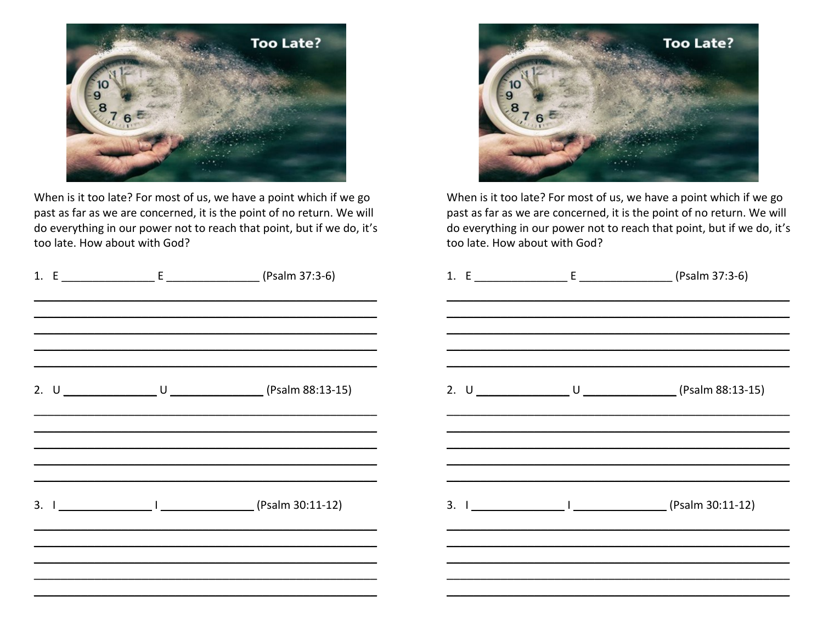

When is it too late? For most of us, we have a point which if we go past as far as we are concerned, it is the point of no return. We will do everything in our power not to reach that point, but if we do, it's too late. How about with God?



When is it too late? For most of us, we have a point which if we go past as far as we are concerned, it is the point of no return. We will do everything in our power not to reach that point, but if we do, it's too late. How about with God?

|  |                                                                                           |  | 1. $E$ [E $E$ $($ Psalm 37:3-6) |
|--|-------------------------------------------------------------------------------------------|--|---------------------------------|
|  |                                                                                           |  |                                 |
|  | <u> 1989 - Johann Stoff, amerikansk politiker (* 1908)</u><br>2. U U U U (Psalm 88:13-15) |  |                                 |
|  | 3. I (Psalm 30:11-12)                                                                     |  |                                 |
|  |                                                                                           |  |                                 |